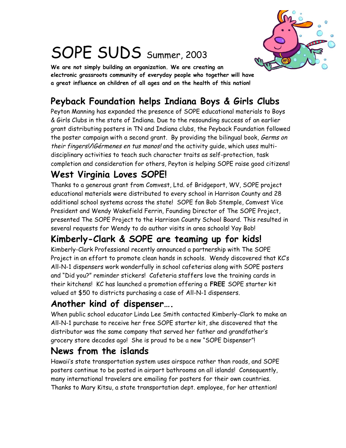

# SOPE SUDS Summer, 2003

**We are not simply building an organization. We are creating an electronic grassroots community of everyday people who together will have a great influence on children of all ages and on the health of this nation!**

## **Peyback Foundation helps Indiana Boys & Girls Clubs**

Peyton Manning has expanded the presence of SOPE educational materials to Boys & Girls Clubs in the state of Indiana. Due to the resounding success of an earlier grant distributing posters in TN and Indiana clubs, the Peyback Foundation followed the poster campaign with a second grant. By providing the bilingual book, Germs on their fingers!**/**¡Gérmenes en tus manos! and the activity guide, which uses multidisciplinary activities to teach such character traits as self-protection, task completion and consideration for others, Peyton is helping SOPE raise good citizens!

### **West Virginia Loves SOPE!**

Thanks to a generous grant from Comvest, Ltd. of Bridgeport, WV, SOPE project educational materials were distributed to every school in Harrison County and 28 additional school systems across the state! SOPE fan Bob Stemple, Comvest Vice President and Wendy Wakefield Ferrin, Founding Director of The SOPE Project, presented The SOPE Project to the Harrison County School Board. This resulted in several requests for Wendy to do author visits in area schools! Yay Bob!

#### **Kimberly-Clark & SOPE are teaming up for kids!**

Kimberly-Clark Professional recently announced a partnership with The SOPE Project in an effort to promote clean hands in schools. Wendy discovered that KC's All-N-1 dispensers work wonderfully in school cafeterias along with SOPE posters and "Did you?" reminder stickers! Cafeteria staffers love the training cards in their kitchens! KC has launched a promotion offering a **FREE** SOPE starter kit valued at \$50 to districts purchasing a case of All-N-1 dispensers.

#### **Another kind of dispenser….**

When public school educator Linda Lee Smith contacted Kimberly-Clark to make an All-N-1 purchase to receive her free SOPE starter kit, she discovered that the distributor was the same company that served her father and grandfather's grocery store decades ago! She is proud to be a new "SOPE Dispenser"!

#### **News from the islands**

Hawaii's state transportation system uses airspace rather than roads, and SOPE posters continue to be posted in airport bathrooms on all islands! Consequently, many international travelers are emailing for posters for their own countries. Thanks to Mary Kitsu, a state transportation dept. employee, for her attention!